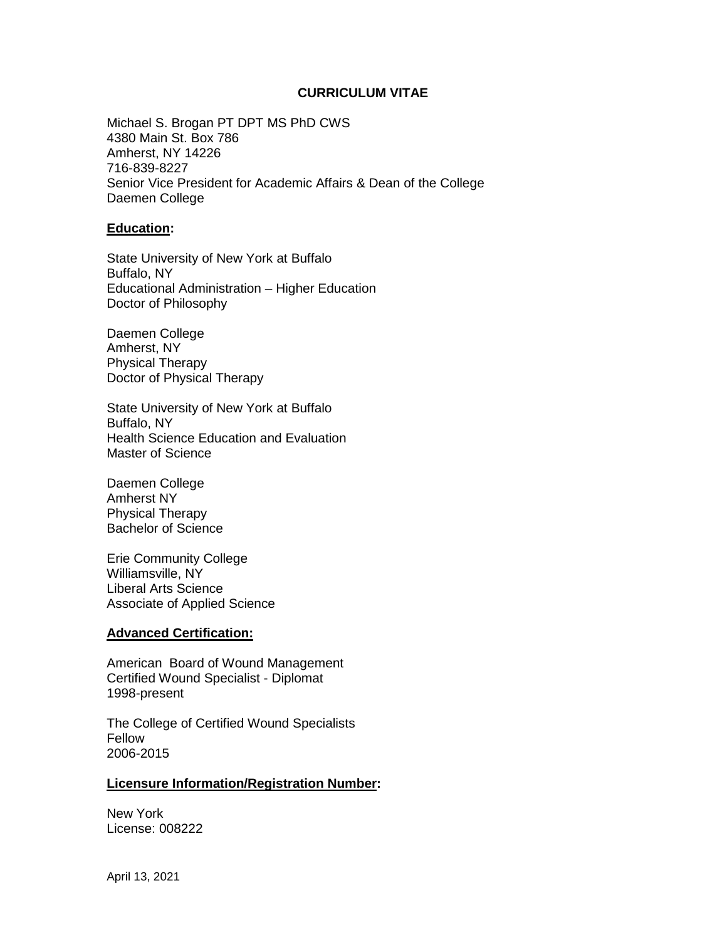### **CURRICULUM VITAE**

Michael S. Brogan PT DPT MS PhD CWS 4380 Main St. Box 786 Amherst, NY 14226 716-839-8227 Senior Vice President for Academic Affairs & Dean of the College Daemen College

#### **Education:**

State University of New York at Buffalo Buffalo, NY Educational Administration – Higher Education Doctor of Philosophy

Daemen College Amherst, NY Physical Therapy Doctor of Physical Therapy

State University of New York at Buffalo Buffalo, NY Health Science Education and Evaluation Master of Science

Daemen College Amherst NY Physical Therapy Bachelor of Science

Erie Community College Williamsville, NY Liberal Arts Science Associate of Applied Science

#### **Advanced Certification:**

American Board of Wound Management Certified Wound Specialist - Diplomat 1998-present

The College of Certified Wound Specialists Fellow 2006-2015

#### **Licensure Information/Registration Number:**

New York License: 008222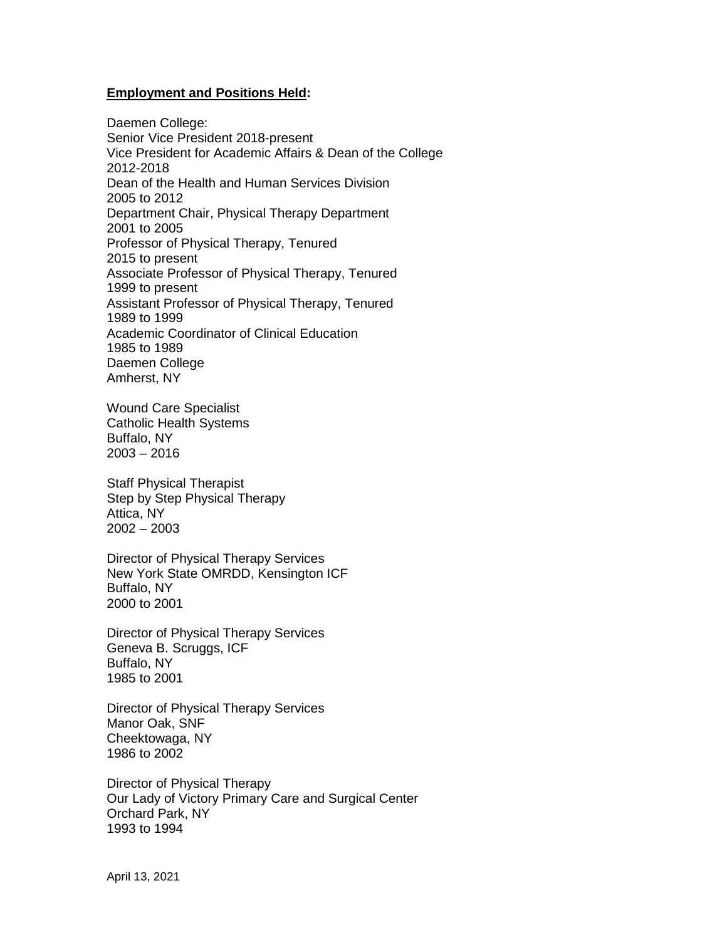## **Employment and Positions Held:**

Daemen College: Senior Vice President 2018-present Vice President for Academic Affairs & Dean of the College 2012-2018 Dean of the Health and Human Services Division 2005 to 2012 Department Chair, Physical Therapy Department 2001 to 2005 Professor of Physical Therapy, Tenured 2015 to present Associate Professor of Physical Therapy, Tenured 1999 to present Assistant Professor of Physical Therapy, Tenured 1989 to 1999 Academic Coordinator of Clinical Education 1985 to 1989 Daemen College Amherst, NY

Wound Care Specialist Catholic Health Systems Buffalo, NY 2003 – 2016

Staff Physical Therapist Step by Step Physical Therapy Attica, NY 2002 – 2003

Director of Physical Therapy Services New York State OMRDD, Kensington ICF Buffalo, NY 2000 to 2001

Director of Physical Therapy Services Geneva B. Scruggs, ICF Buffalo, NY 1985 to 2001

Director of Physical Therapy Services Manor Oak, SNF Cheektowaga, NY 1986 to 2002

Director of Physical Therapy Our Lady of Victory Primary Care and Surgical Center Orchard Park, NY 1993 to 1994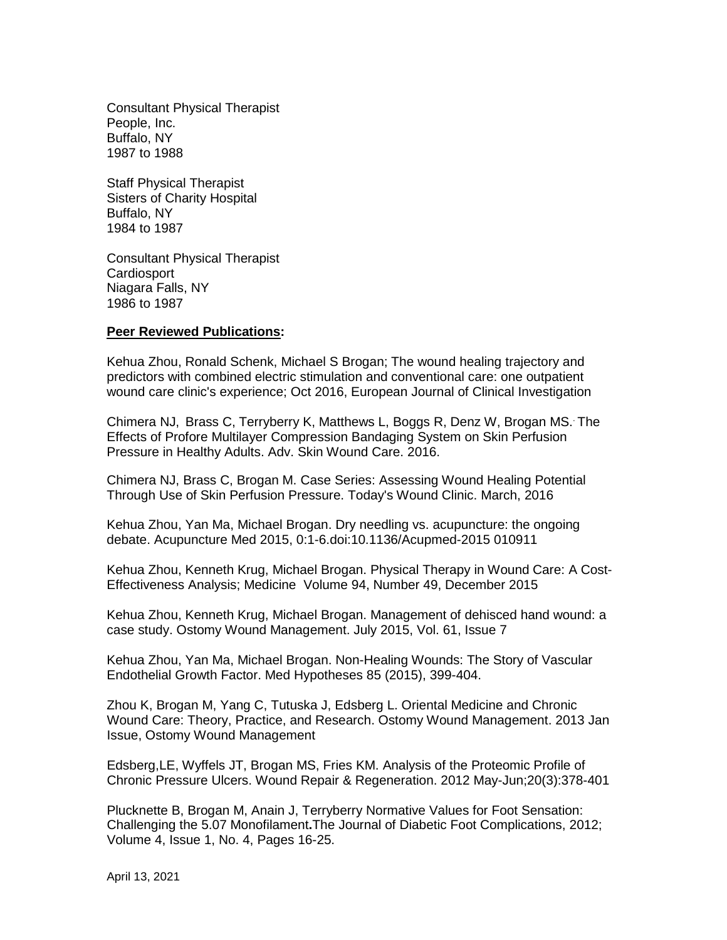Consultant Physical Therapist People, Inc. Buffalo, NY 1987 to 1988

Staff Physical Therapist Sisters of Charity Hospital Buffalo, NY 1984 to 1987

Consultant Physical Therapist **Cardiosport** Niagara Falls, NY 1986 to 1987

#### **Peer Reviewed Publications:**

Kehua Zhou, Ronald Schenk, Michael S Brogan; The wound healing trajectory and predictors with combined electric stimulation and conventional care: one outpatient wound care clinic's experience; Oct 2016, European Journal of Clinical Investigation

Chimera NJ, Brass C, Terryberry K, Matthews L, Boggs R, Denz W, Brogan MS.. The Effects of Profore Multilayer Compression Bandaging System on Skin Perfusion Pressure in Healthy Adults. Adv. Skin Wound Care. 2016.

Chimera NJ, Brass C, Brogan M. Case Series: Assessing Wound Healing Potential Through Use of Skin Perfusion Pressure. Today's Wound Clinic. March, 2016

Kehua Zhou, Yan Ma, Michael Brogan. Dry needling vs. acupuncture: the ongoing debate. Acupuncture Med 2015, 0:1-6.doi:10.1136/Acupmed-2015 010911

Kehua Zhou, Kenneth Krug, Michael Brogan. Physical Therapy in Wound Care: A Cost-Effectiveness Analysis; Medicine Volume 94, Number 49, December 2015

Kehua Zhou, Kenneth Krug, Michael Brogan. Management of dehisced hand wound: a case study. Ostomy Wound Management. July 2015, Vol. 61, Issue 7

Kehua Zhou, Yan Ma, Michael Brogan. Non-Healing Wounds: The Story of Vascular Endothelial Growth Factor. Med Hypotheses 85 (2015), 399-404.

Zhou K, Brogan M, Yang C, Tutuska J, Edsberg L. Oriental Medicine and Chronic Wound Care: Theory, Practice, and Research. Ostomy Wound Management. 2013 Jan Issue, Ostomy Wound Management

Edsberg,LE, Wyffels JT, Brogan MS, Fries KM. Analysis of the Proteomic Profile of Chronic Pressure Ulcers. Wound Repair & Regeneration. 2012 May-Jun;20(3):378-401

Plucknette B, Brogan M, Anain J, Terryberry Normative Values for Foot Sensation: Challenging the 5.07 Monofilament**.**The Journal of Diabetic Foot Complications, 2012; Volume 4, Issue 1, No. 4, Pages 16-25.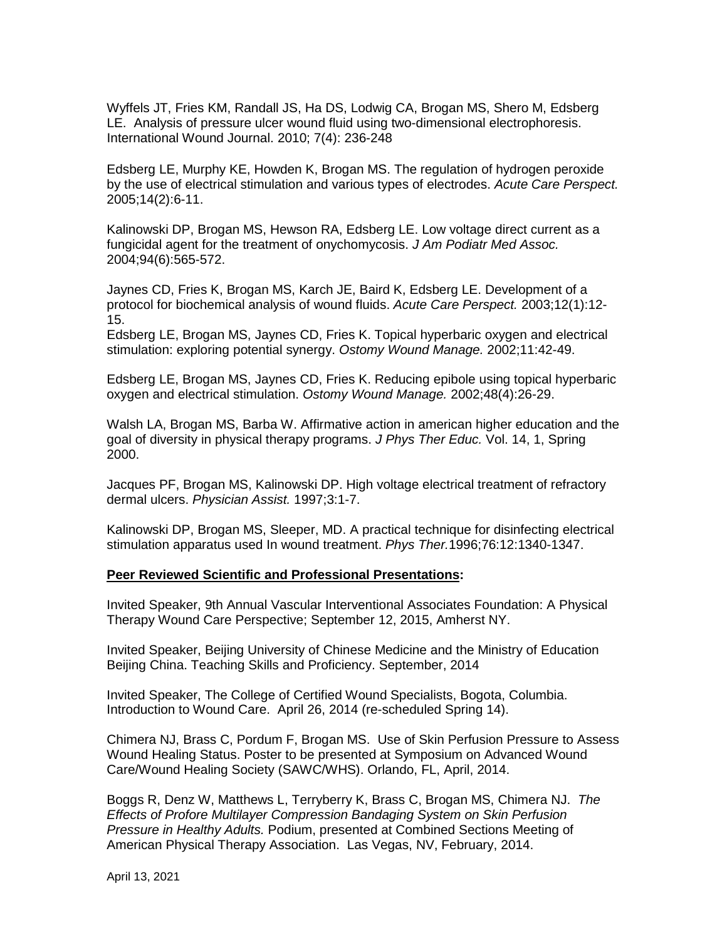Wyffels JT, Fries KM, Randall JS, Ha DS, Lodwig CA, Brogan MS, Shero M, Edsberg LE. Analysis of pressure ulcer wound fluid using two-dimensional electrophoresis. International Wound Journal. 2010; 7(4): 236-248

Edsberg LE, Murphy KE, Howden K, Brogan MS. The regulation of hydrogen peroxide by the use of electrical stimulation and various types of electrodes. *Acute Care Perspect.* 2005;14(2):6-11.

Kalinowski DP, Brogan MS, Hewson RA, Edsberg LE. Low voltage direct current as a fungicidal agent for the treatment of onychomycosis. *J Am Podiatr Med Assoc.*  2004;94(6):565-572.

Jaynes CD, Fries K, Brogan MS, Karch JE, Baird K, Edsberg LE. Development of a protocol for biochemical analysis of wound fluids. *Acute Care Perspect.* 2003;12(1):12- 15.

Edsberg LE, Brogan MS, Jaynes CD, Fries K. Topical hyperbaric oxygen and electrical stimulation: exploring potential synergy. *Ostomy Wound Manage.* 2002;11:42-49.

Edsberg LE, Brogan MS, Jaynes CD, Fries K. Reducing epibole using topical hyperbaric oxygen and electrical stimulation. *Ostomy Wound Manage.* 2002;48(4):26-29.

Walsh LA, Brogan MS, Barba W. Affirmative action in american higher education and the goal of diversity in physical therapy programs. *J Phys Ther Educ.* Vol. 14, 1, Spring 2000.

Jacques PF, Brogan MS, Kalinowski DP. High voltage electrical treatment of refractory dermal ulcers. *Physician Assist.* 1997;3:1-7.

Kalinowski DP, Brogan MS, Sleeper, MD. A practical technique for disinfecting electrical stimulation apparatus used In wound treatment. *Phys Ther.*1996;76:12:1340-1347.

#### **Peer Reviewed Scientific and Professional Presentations:**

Invited Speaker, 9th Annual Vascular Interventional Associates Foundation: A Physical Therapy Wound Care Perspective; September 12, 2015, Amherst NY.

Invited Speaker, Beijing University of Chinese Medicine and the Ministry of Education Beijing China. Teaching Skills and Proficiency. September, 2014

Invited Speaker, The College of Certified Wound Specialists, Bogota, Columbia. Introduction to Wound Care. April 26, 2014 (re-scheduled Spring 14).

Chimera NJ, Brass C, Pordum F, Brogan MS. Use of Skin Perfusion Pressure to Assess Wound Healing Status. Poster to be presented at Symposium on Advanced Wound Care/Wound Healing Society (SAWC/WHS). Orlando, FL, April, 2014.

Boggs R, Denz W, Matthews L, Terryberry K, Brass C, Brogan MS, Chimera NJ. *The Effects of Profore Multilayer Compression Bandaging System on Skin Perfusion Pressure in Healthy Adults.* Podium, presented at Combined Sections Meeting of American Physical Therapy Association. Las Vegas, NV, February, 2014.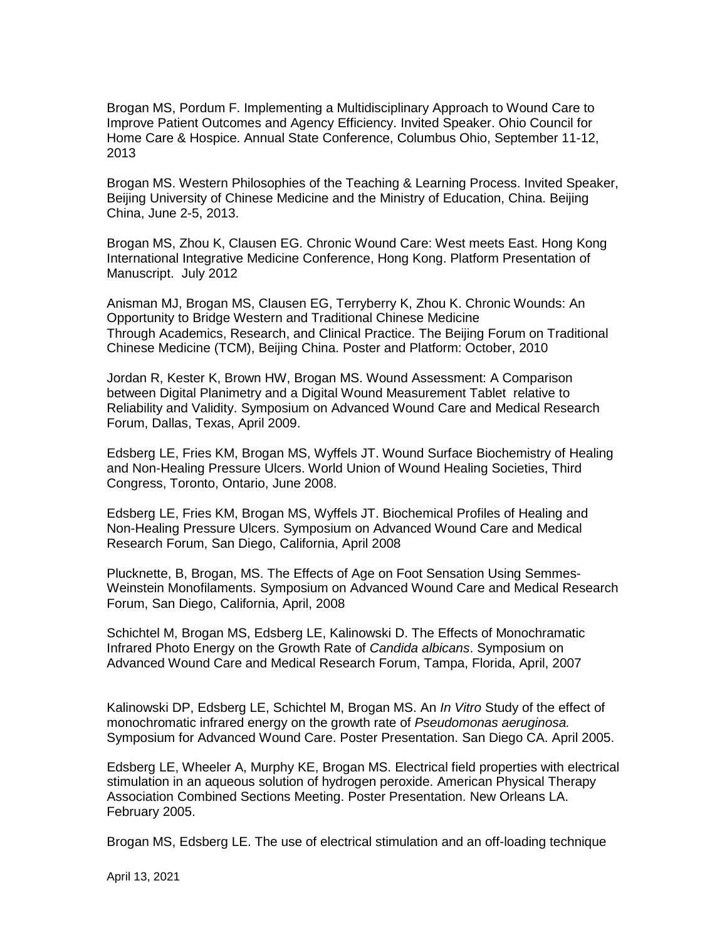Brogan MS, Pordum F. Implementing a Multidisciplinary Approach to Wound Care to Improve Patient Outcomes and Agency Efficiency. Invited Speaker. Ohio Council for Home Care & Hospice. Annual State Conference, Columbus Ohio, September 11-12, 2013

Brogan MS. Western Philosophies of the Teaching & Learning Process. Invited Speaker, Beijing University of Chinese Medicine and the Ministry of Education, China. Beijing China, June 2-5, 2013.

Brogan MS, Zhou K, Clausen EG. Chronic Wound Care: West meets East. Hong Kong International Integrative Medicine Conference, Hong Kong. Platform Presentation of Manuscript. July 2012

Anisman MJ, Brogan MS, Clausen EG, Terryberry K, Zhou K. Chronic Wounds: An Opportunity to Bridge Western and Traditional Chinese Medicine Through Academics, Research, and Clinical Practice. The Beijing Forum on Traditional Chinese Medicine (TCM), Beijing China. Poster and Platform: October, 2010

Jordan R, Kester K, Brown HW, Brogan MS. Wound Assessment: A Comparison between Digital Planimetry and a Digital Wound Measurement Tablet relative to Reliability and Validity. Symposium on Advanced Wound Care and Medical Research Forum, Dallas, Texas, April 2009.

Edsberg LE, Fries KM, Brogan MS, Wyffels JT. Wound Surface Biochemistry of Healing and Non-Healing Pressure Ulcers. World Union of Wound Healing Societies, Third Congress, Toronto, Ontario, June 2008.

Edsberg LE, Fries KM, Brogan MS, Wyffels JT. Biochemical Profiles of Healing and Non-Healing Pressure Ulcers. Symposium on Advanced Wound Care and Medical Research Forum, San Diego, California, April 2008

Plucknette, B, Brogan, MS. The Effects of Age on Foot Sensation Using Semmes-Weinstein Monofilaments. Symposium on Advanced Wound Care and Medical Research Forum, San Diego, California, April, 2008

Schichtel M, Brogan MS, Edsberg LE, Kalinowski D. The Effects of Monochramatic Infrared Photo Energy on the Growth Rate of *Candida albicans*. Symposium on Advanced Wound Care and Medical Research Forum, Tampa, Florida, April, 2007

Kalinowski DP, Edsberg LE, Schichtel M, Brogan MS. An *In Vitro* Study of the effect of monochromatic infrared energy on the growth rate of *Pseudomonas aeruginosa.* Symposium for Advanced Wound Care. Poster Presentation. San Diego CA. April 2005.

Edsberg LE, Wheeler A, Murphy KE, Brogan MS. Electrical field properties with electrical stimulation in an aqueous solution of hydrogen peroxide. American Physical Therapy Association Combined Sections Meeting. Poster Presentation. New Orleans LA. February 2005.

Brogan MS, Edsberg LE. The use of electrical stimulation and an off-loading technique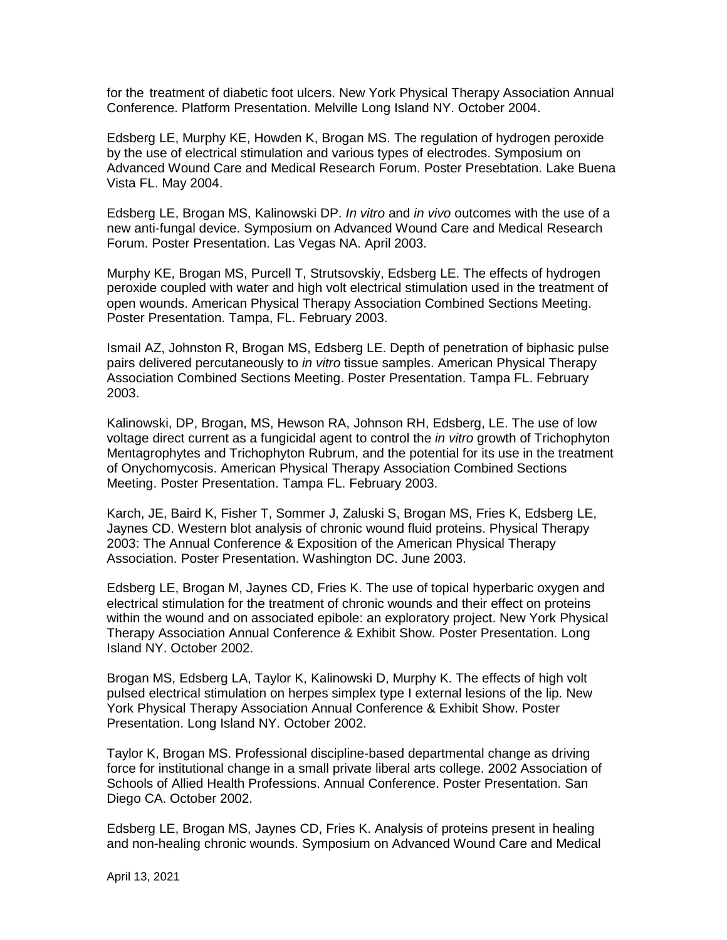for the treatment of diabetic foot ulcers. New York Physical Therapy Association Annual Conference. Platform Presentation. Melville Long Island NY. October 2004.

Edsberg LE, Murphy KE, Howden K, Brogan MS. The regulation of hydrogen peroxide by the use of electrical stimulation and various types of electrodes. Symposium on Advanced Wound Care and Medical Research Forum. Poster Presebtation. Lake Buena Vista FL. May 2004.

Edsberg LE, Brogan MS, Kalinowski DP. *In vitro* and *in vivo* outcomes with the use of a new anti-fungal device. Symposium on Advanced Wound Care and Medical Research Forum. Poster Presentation. Las Vegas NA. April 2003.

Murphy KE, Brogan MS, Purcell T, Strutsovskiy, Edsberg LE. The effects of hydrogen peroxide coupled with water and high volt electrical stimulation used in the treatment of open wounds. American Physical Therapy Association Combined Sections Meeting. Poster Presentation. Tampa, FL. February 2003.

Ismail AZ, Johnston R, Brogan MS, Edsberg LE. Depth of penetration of biphasic pulse pairs delivered percutaneously to *in vitro* tissue samples. American Physical Therapy Association Combined Sections Meeting. Poster Presentation. Tampa FL. February 2003.

Kalinowski, DP, Brogan, MS, Hewson RA, Johnson RH, Edsberg, LE. The use of low voltage direct current as a fungicidal agent to control the *in vitro* growth of Trichophyton Mentagrophytes and Trichophyton Rubrum, and the potential for its use in the treatment of Onychomycosis. American Physical Therapy Association Combined Sections Meeting. Poster Presentation. Tampa FL. February 2003.

Karch, JE, Baird K, Fisher T, Sommer J, Zaluski S, Brogan MS, Fries K, Edsberg LE, Jaynes CD. Western blot analysis of chronic wound fluid proteins. Physical Therapy 2003: The Annual Conference & Exposition of the American Physical Therapy Association. Poster Presentation. Washington DC. June 2003.

Edsberg LE, Brogan M, Jaynes CD, Fries K. The use of topical hyperbaric oxygen and electrical stimulation for the treatment of chronic wounds and their effect on proteins within the wound and on associated epibole: an exploratory project. New York Physical Therapy Association Annual Conference & Exhibit Show. Poster Presentation. Long Island NY. October 2002.

Brogan MS, Edsberg LA, Taylor K, Kalinowski D, Murphy K. The effects of high volt pulsed electrical stimulation on herpes simplex type I external lesions of the lip. New York Physical Therapy Association Annual Conference & Exhibit Show. Poster Presentation. Long Island NY. October 2002.

Taylor K, Brogan MS. Professional discipline-based departmental change as driving force for institutional change in a small private liberal arts college. 2002 Association of Schools of Allied Health Professions. Annual Conference. Poster Presentation. San Diego CA. October 2002.

Edsberg LE, Brogan MS, Jaynes CD, Fries K. Analysis of proteins present in healing and non-healing chronic wounds. Symposium on Advanced Wound Care and Medical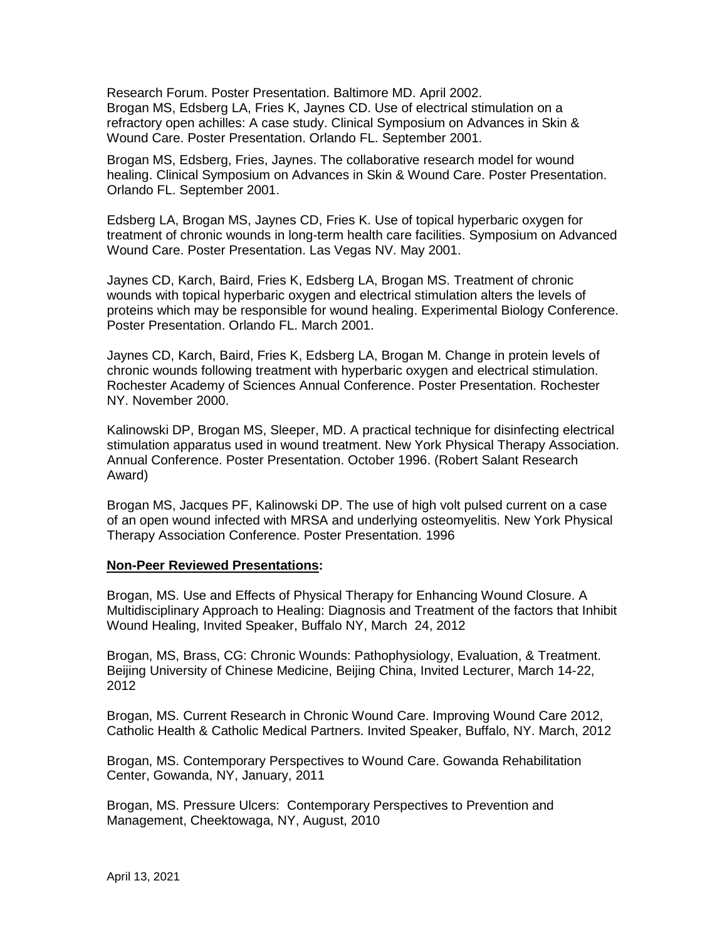Research Forum. Poster Presentation. Baltimore MD. April 2002. Brogan MS, Edsberg LA, Fries K, Jaynes CD. Use of electrical stimulation on a refractory open achilles: A case study. Clinical Symposium on Advances in Skin & Wound Care. Poster Presentation. Orlando FL. September 2001.

Brogan MS, Edsberg, Fries, Jaynes. The collaborative research model for wound healing. Clinical Symposium on Advances in Skin & Wound Care. Poster Presentation. Orlando FL. September 2001.

Edsberg LA, Brogan MS, Jaynes CD, Fries K. Use of topical hyperbaric oxygen for treatment of chronic wounds in long-term health care facilities. Symposium on Advanced Wound Care. Poster Presentation. Las Vegas NV. May 2001.

Jaynes CD, Karch, Baird, Fries K, Edsberg LA, Brogan MS. Treatment of chronic wounds with topical hyperbaric oxygen and electrical stimulation alters the levels of proteins which may be responsible for wound healing. Experimental Biology Conference. Poster Presentation. Orlando FL. March 2001.

Jaynes CD, Karch, Baird, Fries K, Edsberg LA, Brogan M. Change in protein levels of chronic wounds following treatment with hyperbaric oxygen and electrical stimulation. Rochester Academy of Sciences Annual Conference. Poster Presentation. Rochester NY. November 2000.

Kalinowski DP, Brogan MS, Sleeper, MD. A practical technique for disinfecting electrical stimulation apparatus used in wound treatment. New York Physical Therapy Association. Annual Conference. Poster Presentation. October 1996. (Robert Salant Research Award)

Brogan MS, Jacques PF, Kalinowski DP. The use of high volt pulsed current on a case of an open wound infected with MRSA and underlying osteomyelitis. New York Physical Therapy Association Conference. Poster Presentation. 1996

#### **Non-Peer Reviewed Presentations:**

Brogan, MS. Use and Effects of Physical Therapy for Enhancing Wound Closure. A Multidisciplinary Approach to Healing: Diagnosis and Treatment of the factors that Inhibit Wound Healing, Invited Speaker, Buffalo NY, March 24, 2012

Brogan, MS, Brass, CG: Chronic Wounds: Pathophysiology, Evaluation, & Treatment. Beijing University of Chinese Medicine, Beijing China, Invited Lecturer, March 14-22, 2012

Brogan, MS. Current Research in Chronic Wound Care. Improving Wound Care 2012, Catholic Health & Catholic Medical Partners. Invited Speaker, Buffalo, NY. March, 2012

Brogan, MS. Contemporary Perspectives to Wound Care. Gowanda Rehabilitation Center, Gowanda, NY, January, 2011

Brogan, MS. Pressure Ulcers: Contemporary Perspectives to Prevention and Management, Cheektowaga, NY, August, 2010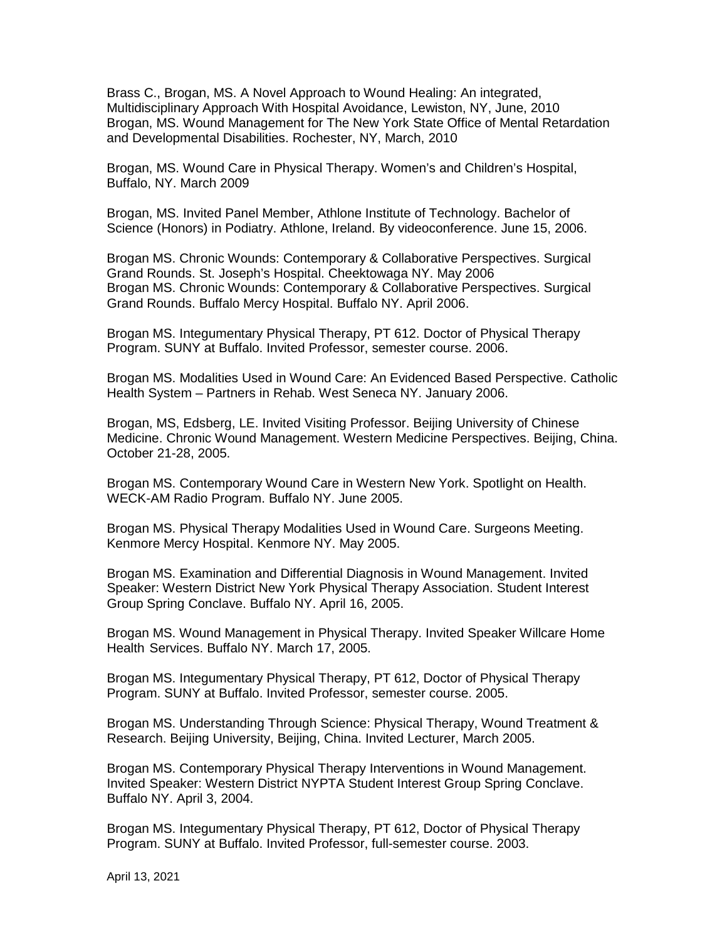Brass C., Brogan, MS. A Novel Approach to Wound Healing: An integrated, Multidisciplinary Approach With Hospital Avoidance, Lewiston, NY, June, 2010 Brogan, MS. Wound Management for The New York State Office of Mental Retardation and Developmental Disabilities. Rochester, NY, March, 2010

Brogan, MS. Wound Care in Physical Therapy. Women's and Children's Hospital, Buffalo, NY. March 2009

Brogan, MS. Invited Panel Member, Athlone Institute of Technology. Bachelor of Science (Honors) in Podiatry. Athlone, Ireland. By videoconference. June 15, 2006.

Brogan MS. Chronic Wounds: Contemporary & Collaborative Perspectives. Surgical Grand Rounds. St. Joseph's Hospital. Cheektowaga NY. May 2006 Brogan MS. Chronic Wounds: Contemporary & Collaborative Perspectives. Surgical Grand Rounds. Buffalo Mercy Hospital. Buffalo NY. April 2006.

Brogan MS. Integumentary Physical Therapy, PT 612. Doctor of Physical Therapy Program. SUNY at Buffalo. Invited Professor, semester course. 2006.

Brogan MS. Modalities Used in Wound Care: An Evidenced Based Perspective. Catholic Health System – Partners in Rehab. West Seneca NY. January 2006.

Brogan, MS, Edsberg, LE. Invited Visiting Professor. Beijing University of Chinese Medicine. Chronic Wound Management. Western Medicine Perspectives. Beijing, China. October 21-28, 2005.

Brogan MS. Contemporary Wound Care in Western New York. Spotlight on Health. WECK-AM Radio Program. Buffalo NY. June 2005.

Brogan MS. Physical Therapy Modalities Used in Wound Care. Surgeons Meeting. Kenmore Mercy Hospital. Kenmore NY. May 2005.

Brogan MS. Examination and Differential Diagnosis in Wound Management. Invited Speaker: Western District New York Physical Therapy Association. Student Interest Group Spring Conclave. Buffalo NY. April 16, 2005.

Brogan MS. Wound Management in Physical Therapy. Invited Speaker Willcare Home Health Services. Buffalo NY. March 17, 2005.

Brogan MS. Integumentary Physical Therapy, PT 612, Doctor of Physical Therapy Program. SUNY at Buffalo. Invited Professor, semester course. 2005.

Brogan MS. Understanding Through Science: Physical Therapy, Wound Treatment & Research. Beijing University, Beijing, China. Invited Lecturer, March 2005.

Brogan MS. Contemporary Physical Therapy Interventions in Wound Management. Invited Speaker: Western District NYPTA Student Interest Group Spring Conclave. Buffalo NY. April 3, 2004.

Brogan MS. Integumentary Physical Therapy, PT 612, Doctor of Physical Therapy Program. SUNY at Buffalo. Invited Professor, full-semester course. 2003.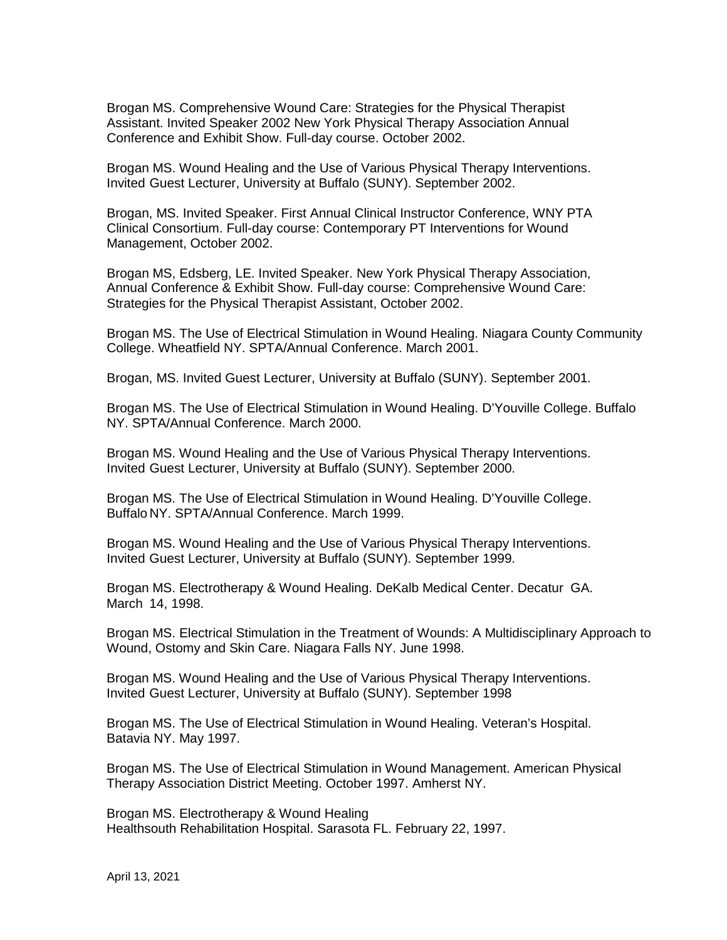Brogan MS. Comprehensive Wound Care: Strategies for the Physical Therapist Assistant. Invited Speaker 2002 New York Physical Therapy Association Annual Conference and Exhibit Show. Full-day course. October 2002.

Brogan MS. Wound Healing and the Use of Various Physical Therapy Interventions. Invited Guest Lecturer, University at Buffalo (SUNY). September 2002.

Brogan, MS. Invited Speaker. First Annual Clinical Instructor Conference, WNY PTA Clinical Consortium. Full-day course: Contemporary PT Interventions for Wound Management, October 2002.

Brogan MS, Edsberg, LE. Invited Speaker. New York Physical Therapy Association, Annual Conference & Exhibit Show. Full-day course: Comprehensive Wound Care: Strategies for the Physical Therapist Assistant, October 2002.

Brogan MS. The Use of Electrical Stimulation in Wound Healing. Niagara County Community College. Wheatfield NY. SPTA/Annual Conference. March 2001.

Brogan, MS. Invited Guest Lecturer, University at Buffalo (SUNY). September 2001.

Brogan MS. The Use of Electrical Stimulation in Wound Healing. D'Youville College. Buffalo NY. SPTA/Annual Conference. March 2000.

Brogan MS. Wound Healing and the Use of Various Physical Therapy Interventions. Invited Guest Lecturer, University at Buffalo (SUNY). September 2000.

Brogan MS. The Use of Electrical Stimulation in Wound Healing. D'Youville College. Buffalo NY. SPTA/Annual Conference. March 1999.

Brogan MS. Wound Healing and the Use of Various Physical Therapy Interventions. Invited Guest Lecturer, University at Buffalo (SUNY). September 1999.

Brogan MS. Electrotherapy & Wound Healing. DeKalb Medical Center. Decatur GA. March 14, 1998.

Brogan MS. Electrical Stimulation in the Treatment of Wounds: A Multidisciplinary Approach to Wound, Ostomy and Skin Care. Niagara Falls NY. June 1998.

Brogan MS. Wound Healing and the Use of Various Physical Therapy Interventions. Invited Guest Lecturer, University at Buffalo (SUNY). September 1998

Brogan MS. The Use of Electrical Stimulation in Wound Healing. Veteran's Hospital. Batavia NY. May 1997.

Brogan MS. The Use of Electrical Stimulation in Wound Management. American Physical Therapy Association District Meeting. October 1997. Amherst NY.

Brogan MS. Electrotherapy & Wound Healing Healthsouth Rehabilitation Hospital. Sarasota FL. February 22, 1997.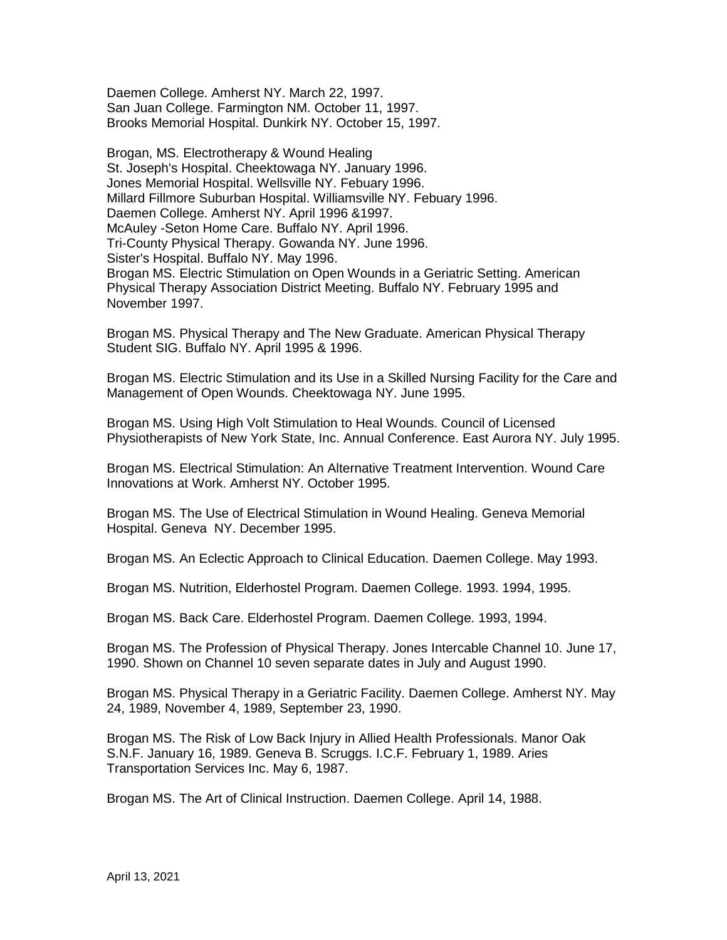Daemen College. Amherst NY. March 22, 1997. San Juan College. Farmington NM. October 11, 1997. Brooks Memorial Hospital. Dunkirk NY. October 15, 1997.

Brogan, MS. Electrotherapy & Wound Healing St. Joseph's Hospital. Cheektowaga NY. January 1996. Jones Memorial Hospital. Wellsville NY. Febuary 1996. Millard Fillmore Suburban Hospital. Williamsville NY. Febuary 1996. Daemen College. Amherst NY. April 1996 &1997. McAuley -Seton Home Care. Buffalo NY. April 1996. Tri-County Physical Therapy. Gowanda NY. June 1996. Sister's Hospital. Buffalo NY. May 1996. Brogan MS. Electric Stimulation on Open Wounds in a Geriatric Setting. American Physical Therapy Association District Meeting. Buffalo NY. February 1995 and November 1997.

Brogan MS. Physical Therapy and The New Graduate. American Physical Therapy Student SIG. Buffalo NY. April 1995 & 1996.

Brogan MS. Electric Stimulation and its Use in a Skilled Nursing Facility for the Care and Management of Open Wounds. Cheektowaga NY. June 1995.

Brogan MS. Using High Volt Stimulation to Heal Wounds. Council of Licensed Physiotherapists of New York State, Inc. Annual Conference. East Aurora NY. July 1995.

Brogan MS. Electrical Stimulation: An Alternative Treatment Intervention. Wound Care Innovations at Work. Amherst NY. October 1995.

Brogan MS. The Use of Electrical Stimulation in Wound Healing. Geneva Memorial Hospital. Geneva NY. December 1995.

Brogan MS. An Eclectic Approach to Clinical Education. Daemen College. May 1993.

Brogan MS. Nutrition, Elderhostel Program. Daemen College. 1993. 1994, 1995.

Brogan MS. Back Care. Elderhostel Program. Daemen College. 1993, 1994.

Brogan MS. The Profession of Physical Therapy. Jones Intercable Channel 10. June 17, 1990. Shown on Channel 10 seven separate dates in July and August 1990.

Brogan MS. Physical Therapy in a Geriatric Facility. Daemen College. Amherst NY. May 24, 1989, November 4, 1989, September 23, 1990.

Brogan MS. The Risk of Low Back Injury in Allied Health Professionals. Manor Oak S.N.F. January 16, 1989. Geneva B. Scruggs. I.C.F. February 1, 1989. Aries Transportation Services Inc. May 6, 1987.

Brogan MS. The Art of Clinical Instruction. Daemen College. April 14, 1988.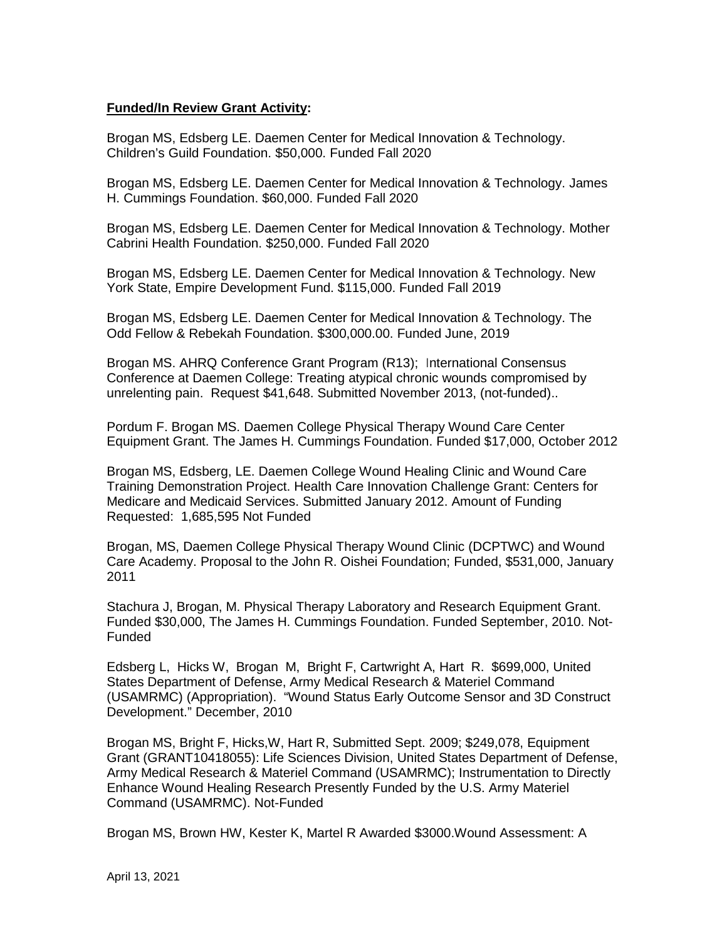# **Funded/In Review Grant Activity:**

Brogan MS, Edsberg LE. Daemen Center for Medical Innovation & Technology. Children's Guild Foundation. \$50,000. Funded Fall 2020

Brogan MS, Edsberg LE. Daemen Center for Medical Innovation & Technology. James H. Cummings Foundation. \$60,000. Funded Fall 2020

Brogan MS, Edsberg LE. Daemen Center for Medical Innovation & Technology. Mother Cabrini Health Foundation. \$250,000. Funded Fall 2020

Brogan MS, Edsberg LE. Daemen Center for Medical Innovation & Technology. New York State, Empire Development Fund. \$115,000. Funded Fall 2019

Brogan MS, Edsberg LE. Daemen Center for Medical Innovation & Technology. The Odd Fellow & Rebekah Foundation. \$300,000.00. Funded June, 2019

Brogan MS. AHRQ Conference Grant Program (R13); International Consensus Conference at Daemen College: Treating atypical chronic wounds compromised by unrelenting pain. Request \$41,648. Submitted November 2013, (not-funded)..

Pordum F. Brogan MS. Daemen College Physical Therapy Wound Care Center Equipment Grant. The James H. Cummings Foundation. Funded \$17,000, October 2012

Brogan MS, Edsberg, LE. Daemen College Wound Healing Clinic and Wound Care Training Demonstration Project. Health Care Innovation Challenge Grant: Centers for Medicare and Medicaid Services. Submitted January 2012. Amount of Funding Requested: 1,685,595 Not Funded

Brogan, MS, Daemen College Physical Therapy Wound Clinic (DCPTWC) and Wound Care Academy. Proposal to the John R. Oishei Foundation; Funded, \$531,000, January 2011

Stachura J, Brogan, M. Physical Therapy Laboratory and Research Equipment Grant. Funded \$30,000, The James H. Cummings Foundation. Funded September, 2010. Not-Funded

Edsberg L, Hicks W, Brogan M, Bright F, Cartwright A, Hart R. \$699,000, United States Department of Defense, Army Medical Research & Materiel Command (USAMRMC) (Appropriation). "Wound Status Early Outcome Sensor and 3D Construct Development." December, 2010

Brogan MS, Bright F, Hicks,W, Hart R, Submitted Sept. 2009; \$249,078, Equipment Grant (GRANT10418055): Life Sciences Division, United States Department of Defense, Army Medical Research & Materiel Command (USAMRMC); Instrumentation to Directly Enhance Wound Healing Research Presently Funded by the U.S. Army Materiel Command (USAMRMC). Not-Funded

Brogan MS, Brown HW, Kester K, Martel R Awarded \$3000.Wound Assessment: A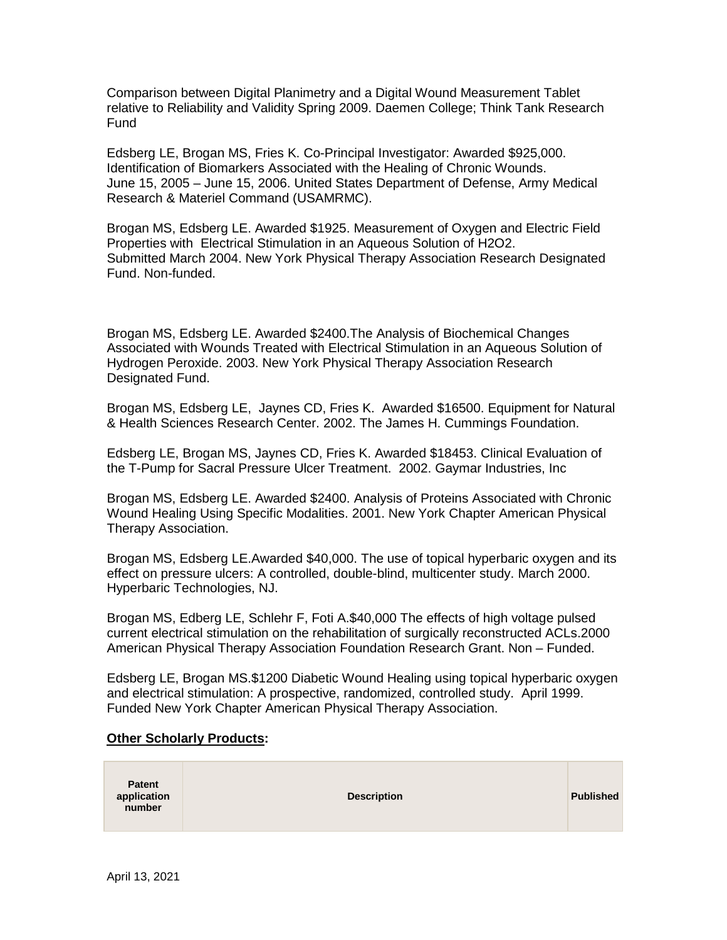Comparison between Digital Planimetry and a Digital Wound Measurement Tablet relative to Reliability and Validity Spring 2009. Daemen College; Think Tank Research **Fund** 

Edsberg LE, Brogan MS, Fries K. Co-Principal Investigator: Awarded \$925,000. Identification of Biomarkers Associated with the Healing of Chronic Wounds. June 15, 2005 – June 15, 2006. United States Department of Defense, Army Medical Research & Materiel Command (USAMRMC).

Brogan MS, Edsberg LE. Awarded \$1925. Measurement of Oxygen and Electric Field Properties with Electrical Stimulation in an Aqueous Solution of H2O2. Submitted March 2004. New York Physical Therapy Association Research Designated Fund. Non-funded.

Brogan MS, Edsberg LE. Awarded \$2400.The Analysis of Biochemical Changes Associated with Wounds Treated with Electrical Stimulation in an Aqueous Solution of Hydrogen Peroxide. 2003. New York Physical Therapy Association Research Designated Fund.

Brogan MS, Edsberg LE, Jaynes CD, Fries K. Awarded \$16500. Equipment for Natural & Health Sciences Research Center. 2002. The James H. Cummings Foundation.

Edsberg LE, Brogan MS, Jaynes CD, Fries K. Awarded \$18453. Clinical Evaluation of the T-Pump for Sacral Pressure Ulcer Treatment. 2002. Gaymar Industries, Inc

Brogan MS, Edsberg LE. Awarded \$2400. Analysis of Proteins Associated with Chronic Wound Healing Using Specific Modalities. 2001. New York Chapter American Physical Therapy Association.

Brogan MS, Edsberg LE.Awarded \$40,000. The use of topical hyperbaric oxygen and its effect on pressure ulcers: A controlled, double-blind, multicenter study. March 2000. Hyperbaric Technologies, NJ.

Brogan MS, Edberg LE, Schlehr F, Foti A.\$40,000 The effects of high voltage pulsed current electrical stimulation on the rehabilitation of surgically reconstructed ACLs.2000 American Physical Therapy Association Foundation Research Grant. Non – Funded.

Edsberg LE, Brogan MS.\$1200 Diabetic Wound Healing using topical hyperbaric oxygen and electrical stimulation: A prospective, randomized, controlled study. April 1999. Funded New York Chapter American Physical Therapy Association.

#### **Other Scholarly Products:**

| <b>Patent</b><br>application<br>number | <b>Description</b> | Published |
|----------------------------------------|--------------------|-----------|
|----------------------------------------|--------------------|-----------|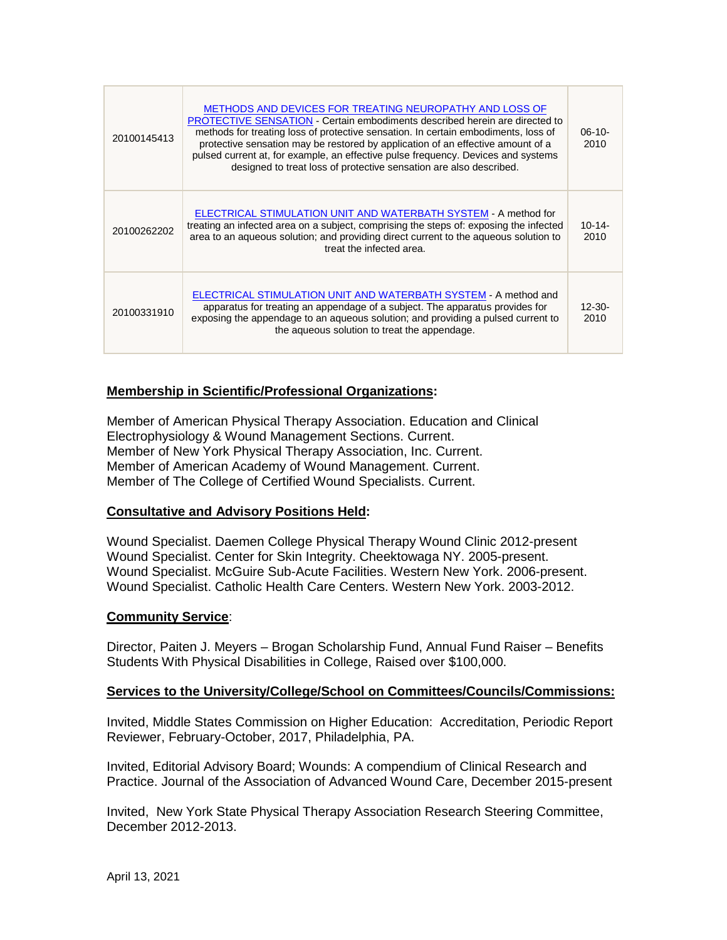| 20100145413 | METHODS AND DEVICES FOR TREATING NEUROPATHY AND LOSS OF<br><b>PROTECTIVE SENSATION - Certain embodiments described herein are directed to</b><br>methods for treating loss of protective sensation. In certain embodiments, loss of<br>protective sensation may be restored by application of an effective amount of a<br>pulsed current at, for example, an effective pulse frequency. Devices and systems<br>designed to treat loss of protective sensation are also described. | $06-10-$<br>2010    |
|-------------|-----------------------------------------------------------------------------------------------------------------------------------------------------------------------------------------------------------------------------------------------------------------------------------------------------------------------------------------------------------------------------------------------------------------------------------------------------------------------------------|---------------------|
| 20100262202 | ELECTRICAL STIMULATION UNIT AND WATERBATH SYSTEM - A method for<br>treating an infected area on a subject, comprising the steps of: exposing the infected<br>area to an agueous solution; and providing direct current to the agueous solution to<br>treat the infected area.                                                                                                                                                                                                     | $10 - 14$<br>2010   |
| 20100331910 | ELECTRICAL STIMULATION UNIT AND WATERBATH SYSTEM - A method and<br>apparatus for treating an appendage of a subject. The apparatus provides for<br>exposing the appendage to an aqueous solution; and providing a pulsed current to<br>the aqueous solution to treat the appendage.                                                                                                                                                                                               | $12 - 30 -$<br>2010 |

# **Membership in Scientific/Professional Organizations:**

Member of American Physical Therapy Association. Education and Clinical Electrophysiology & Wound Management Sections. Current. Member of New York Physical Therapy Association, Inc. Current. Member of American Academy of Wound Management. Current. Member of The College of Certified Wound Specialists. Current.

#### **Consultative and Advisory Positions Held:**

Wound Specialist. Daemen College Physical Therapy Wound Clinic 2012-present Wound Specialist. Center for Skin Integrity. Cheektowaga NY. 2005-present. Wound Specialist. McGuire Sub-Acute Facilities. Western New York. 2006-present. Wound Specialist. Catholic Health Care Centers. Western New York. 2003-2012.

#### **Community Service**:

Director, Paiten J. Meyers – Brogan Scholarship Fund, Annual Fund Raiser – Benefits Students With Physical Disabilities in College, Raised over \$100,000.

#### **Services to the University/College/School on Committees/Councils/Commissions:**

Invited, Middle States Commission on Higher Education: Accreditation, Periodic Report Reviewer, February-October, 2017, Philadelphia, PA.

Invited, Editorial Advisory Board; Wounds: A compendium of Clinical Research and Practice. Journal of the Association of Advanced Wound Care, December 2015-present

Invited, New York State Physical Therapy Association Research Steering Committee, December 2012-2013.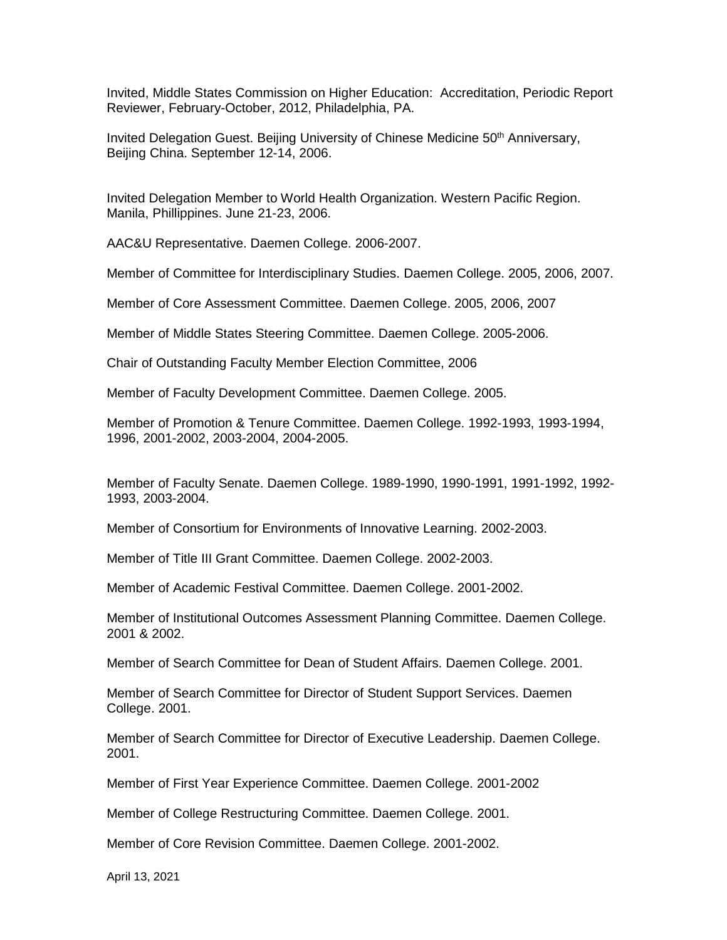Invited, Middle States Commission on Higher Education: Accreditation, Periodic Report Reviewer, February-October, 2012, Philadelphia, PA.

Invited Delegation Guest. Beijing University of Chinese Medicine 50<sup>th</sup> Anniversary, Beijing China. September 12-14, 2006.

Invited Delegation Member to World Health Organization. Western Pacific Region. Manila, Phillippines. June 21-23, 2006.

AAC&U Representative. Daemen College. 2006-2007.

Member of Committee for Interdisciplinary Studies. Daemen College. 2005, 2006, 2007.

Member of Core Assessment Committee. Daemen College. 2005, 2006, 2007

Member of Middle States Steering Committee. Daemen College. 2005-2006.

Chair of Outstanding Faculty Member Election Committee, 2006

Member of Faculty Development Committee. Daemen College. 2005.

Member of Promotion & Tenure Committee. Daemen College. 1992-1993, 1993-1994, 1996, 2001-2002, 2003-2004, 2004-2005.

Member of Faculty Senate. Daemen College. 1989-1990, 1990-1991, 1991-1992, 1992- 1993, 2003-2004.

Member of Consortium for Environments of Innovative Learning. 2002-2003.

Member of Title III Grant Committee. Daemen College. 2002-2003.

Member of Academic Festival Committee. Daemen College. 2001-2002.

Member of Institutional Outcomes Assessment Planning Committee. Daemen College. 2001 & 2002.

Member of Search Committee for Dean of Student Affairs. Daemen College. 2001.

Member of Search Committee for Director of Student Support Services. Daemen College. 2001.

Member of Search Committee for Director of Executive Leadership. Daemen College. 2001.

Member of First Year Experience Committee. Daemen College. 2001-2002

Member of College Restructuring Committee. Daemen College. 2001.

Member of Core Revision Committee. Daemen College. 2001-2002.

April 13, 2021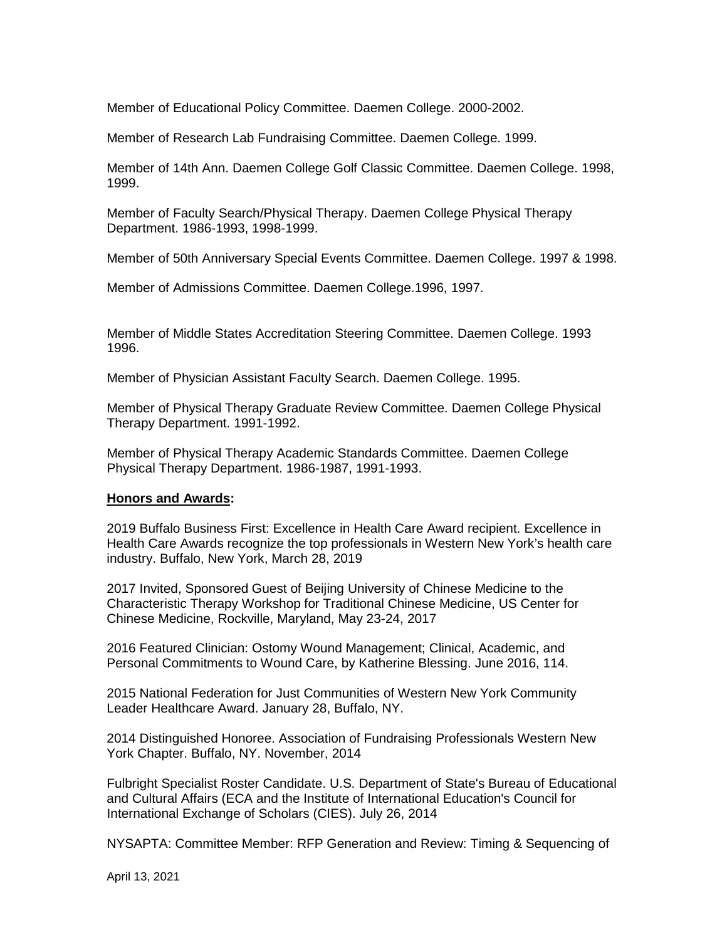Member of Educational Policy Committee. Daemen College. 2000-2002.

Member of Research Lab Fundraising Committee. Daemen College. 1999.

Member of 14th Ann. Daemen College Golf Classic Committee. Daemen College. 1998, 1999.

Member of Faculty Search/Physical Therapy. Daemen College Physical Therapy Department. 1986-1993, 1998-1999.

Member of 50th Anniversary Special Events Committee. Daemen College. 1997 & 1998.

Member of Admissions Committee. Daemen College.1996, 1997.

Member of Middle States Accreditation Steering Committee. Daemen College. 1993 1996.

Member of Physician Assistant Faculty Search. Daemen College. 1995.

Member of Physical Therapy Graduate Review Committee. Daemen College Physical Therapy Department. 1991-1992.

Member of Physical Therapy Academic Standards Committee. Daemen College Physical Therapy Department. 1986-1987, 1991-1993.

#### **Honors and Awards:**

2019 Buffalo Business First: Excellence in Health Care Award recipient. Excellence in Health Care Awards recognize the top professionals in Western New York's health care industry. Buffalo, New York, March 28, 2019

2017 Invited, Sponsored Guest of Beijing University of Chinese Medicine to the Characteristic Therapy Workshop for Traditional Chinese Medicine, US Center for Chinese Medicine, Rockville, Maryland, May 23-24, 2017

2016 Featured Clinician: Ostomy Wound Management; Clinical, Academic, and Personal Commitments to Wound Care, by Katherine Blessing. June 2016, 114.

2015 National Federation for Just Communities of Western New York Community Leader Healthcare Award. January 28, Buffalo, NY.

2014 Distinguished Honoree. Association of Fundraising Professionals Western New York Chapter. Buffalo, NY. November, 2014

Fulbright Specialist Roster Candidate. U.S. Department of State's Bureau of Educational and Cultural Affairs (ECA and the Institute of International Education's Council for International Exchange of Scholars (CIES). July 26, 2014

NYSAPTA: Committee Member: RFP Generation and Review: Timing & Sequencing of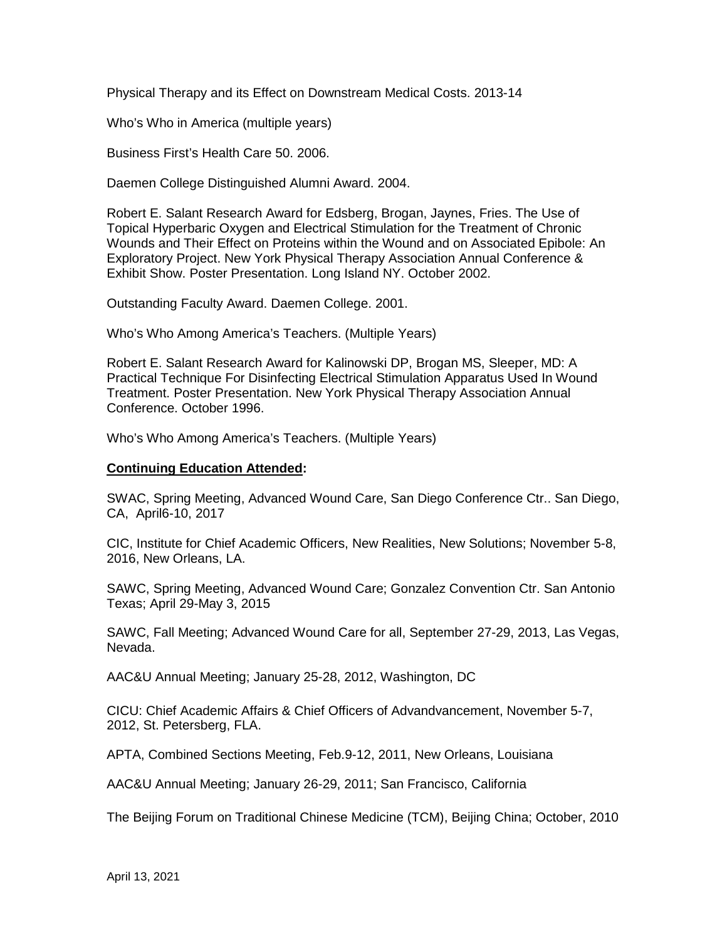Physical Therapy and its Effect on Downstream Medical Costs. 2013-14

Who's Who in America (multiple years)

Business First's Health Care 50. 2006.

Daemen College Distinguished Alumni Award. 2004.

Robert E. Salant Research Award for Edsberg, Brogan, Jaynes, Fries. The Use of Topical Hyperbaric Oxygen and Electrical Stimulation for the Treatment of Chronic Wounds and Their Effect on Proteins within the Wound and on Associated Epibole: An Exploratory Project. New York Physical Therapy Association Annual Conference & Exhibit Show. Poster Presentation. Long Island NY. October 2002.

Outstanding Faculty Award. Daemen College. 2001.

Who's Who Among America's Teachers. (Multiple Years)

Robert E. Salant Research Award for Kalinowski DP, Brogan MS, Sleeper, MD: A Practical Technique For Disinfecting Electrical Stimulation Apparatus Used In Wound Treatment. Poster Presentation. New York Physical Therapy Association Annual Conference. October 1996.

Who's Who Among America's Teachers. (Multiple Years)

### **Continuing Education Attended:**

SWAC, Spring Meeting, Advanced Wound Care, San Diego Conference Ctr.. San Diego, CA, April6-10, 2017

CIC, Institute for Chief Academic Officers, New Realities, New Solutions; November 5-8, 2016, New Orleans, LA.

SAWC, Spring Meeting, Advanced Wound Care; Gonzalez Convention Ctr. San Antonio Texas; April 29-May 3, 2015

SAWC, Fall Meeting; Advanced Wound Care for all, September 27-29, 2013, Las Vegas, Nevada.

AAC&U Annual Meeting; January 25-28, 2012, Washington, DC

CICU: Chief Academic Affairs & Chief Officers of Advandvancement, November 5-7, 2012, St. Petersberg, FLA.

APTA, Combined Sections Meeting, Feb.9-12, 2011, New Orleans, Louisiana

AAC&U Annual Meeting; January 26-29, 2011; San Francisco, California

The Beijing Forum on Traditional Chinese Medicine (TCM), Beijing China; October, 2010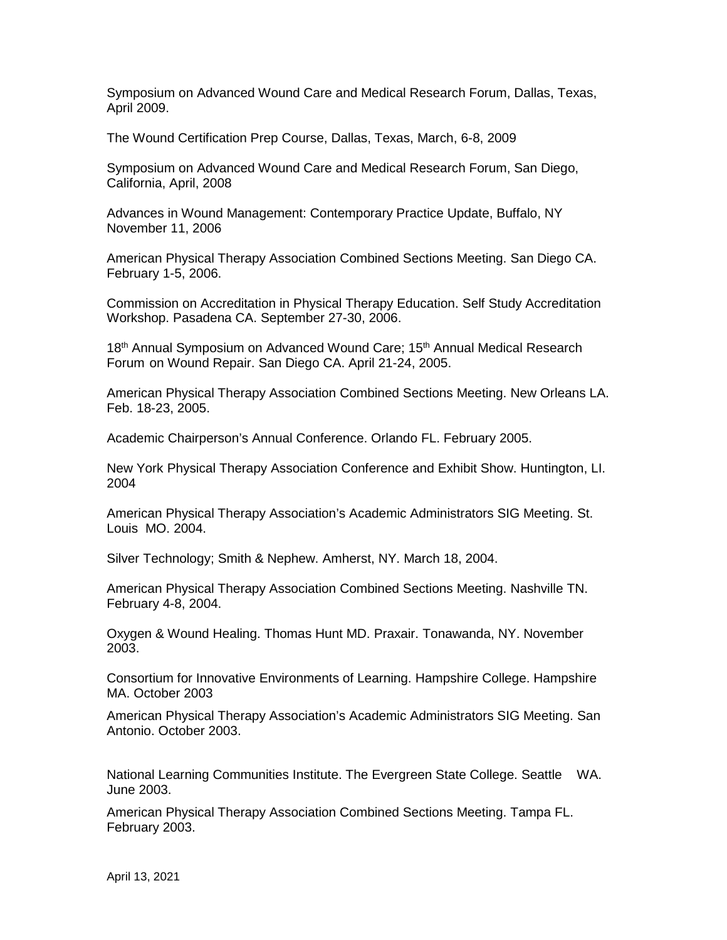Symposium on Advanced Wound Care and Medical Research Forum, Dallas, Texas, April 2009.

The Wound Certification Prep Course, Dallas, Texas, March, 6-8, 2009

Symposium on Advanced Wound Care and Medical Research Forum, San Diego, California, April, 2008

Advances in Wound Management: Contemporary Practice Update, Buffalo, NY November 11, 2006

American Physical Therapy Association Combined Sections Meeting. San Diego CA. February 1-5, 2006.

Commission on Accreditation in Physical Therapy Education. Self Study Accreditation Workshop. Pasadena CA. September 27-30, 2006.

18<sup>th</sup> Annual Symposium on Advanced Wound Care; 15<sup>th</sup> Annual Medical Research Forum on Wound Repair. San Diego CA. April 21-24, 2005.

American Physical Therapy Association Combined Sections Meeting. New Orleans LA. Feb. 18-23, 2005.

Academic Chairperson's Annual Conference. Orlando FL. February 2005.

New York Physical Therapy Association Conference and Exhibit Show. Huntington, LI. 2004

American Physical Therapy Association's Academic Administrators SIG Meeting. St. Louis MO. 2004.

Silver Technology; Smith & Nephew. Amherst, NY. March 18, 2004.

American Physical Therapy Association Combined Sections Meeting. Nashville TN. February 4-8, 2004.

Oxygen & Wound Healing. Thomas Hunt MD. Praxair. Tonawanda, NY. November 2003.

Consortium for Innovative Environments of Learning. Hampshire College. Hampshire MA. October 2003

American Physical Therapy Association's Academic Administrators SIG Meeting. San Antonio. October 2003.

National Learning Communities Institute. The Evergreen State College. Seattle WA. June 2003.

American Physical Therapy Association Combined Sections Meeting. Tampa FL. February 2003.